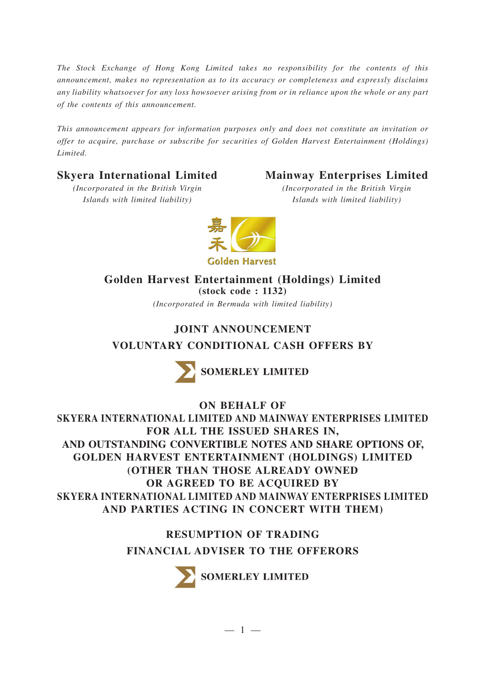*The Stock Exchange of Hong Kong Limited takes no responsibility for the contents of this announcement, makes no representation as to its accuracy or completeness and expressly disclaims any liability whatsoever for any loss howsoever arising from or in reliance upon the whole or any part of the contents of this announcement.*

*This announcement appears for information purposes only and does not constitute an invitation or offer to acquire, purchase or subscribe for securities of Golden Harvest Entertainment (Holdings) Limited.*

# **Skyera International Limited**

# **Mainway Enterprises Limited**

*(Incorporated in the British Virgin Islands with limited liability)*

*(Incorporated in the British Virgin Islands with limited liability)*



# **Golden Harvest Entertainment (Holdings) Limited (stock code : 1132)**

*(Incorporated in Bermuda with limited liability)*

# **JOINT ANNOUNCEMENT VOLUNTARY CONDITIONAL CASH OFFERS BY**



**SOMERLEY LIMITED** 

**ON BEHALF OF**

**SKYERA INTERNATIONAL LIMITED AND MAINWAY ENTERPRISES LIMITED FOR ALL THE ISSUED SHARES IN, AND OUTSTANDING CONVERTIBLE NOTES AND SHARE OPTIONS OF, GOLDEN HARVEST ENTERTAINMENT (HOLDINGS) LIMITED (OTHER THAN THOSE ALREADY OWNED OR AGREED TO BE ACQUIRED BY SKYERA INTERNATIONAL LIMITED AND MAINWAY ENTERPRISES LIMITED AND PARTIES ACTING IN CONCERT WITH THEM)**

> **RESUMPTION OF TRADING FINANCIAL ADVISER TO THE OFFERORS**



SOMERLEY LIMITED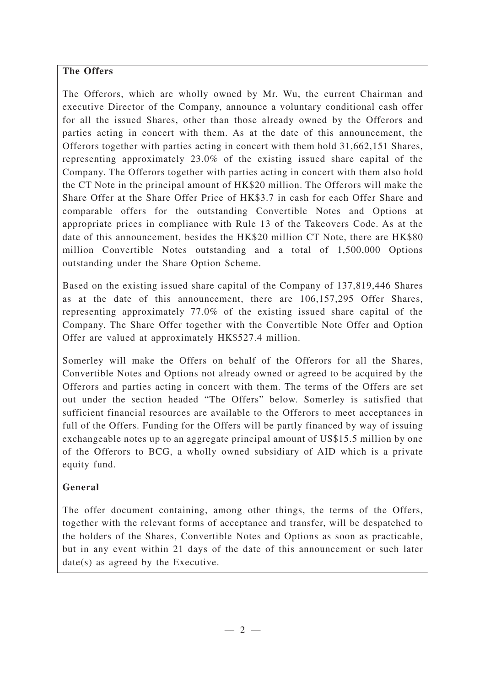## **The Offers**

The Offerors, which are wholly owned by Mr. Wu, the current Chairman and executive Director of the Company, announce a voluntary conditional cash offer for all the issued Shares, other than those already owned by the Offerors and parties acting in concert with them. As at the date of this announcement, the Offerors together with parties acting in concert with them hold 31,662,151 Shares, representing approximately 23.0% of the existing issued share capital of the Company. The Offerors together with parties acting in concert with them also hold the CT Note in the principal amount of HK\$20 million. The Offerors will make the Share Offer at the Share Offer Price of HK\$3.7 in cash for each Offer Share and comparable offers for the outstanding Convertible Notes and Options at appropriate prices in compliance with Rule 13 of the Takeovers Code. As at the date of this announcement, besides the HK\$20 million CT Note, there are HK\$80 million Convertible Notes outstanding and a total of 1,500,000 Options outstanding under the Share Option Scheme.

Based on the existing issued share capital of the Company of 137,819,446 Shares as at the date of this announcement, there are 106,157,295 Offer Shares, representing approximately 77.0% of the existing issued share capital of the Company. The Share Offer together with the Convertible Note Offer and Option Offer are valued at approximately HK\$527.4 million.

Somerley will make the Offers on behalf of the Offerors for all the Shares, Convertible Notes and Options not already owned or agreed to be acquired by the Offerors and parties acting in concert with them. The terms of the Offers are set out under the section headed "The Offers" below. Somerley is satisfied that sufficient financial resources are available to the Offerors to meet acceptances in full of the Offers. Funding for the Offers will be partly financed by way of issuing exchangeable notes up to an aggregate principal amount of US\$15.5 million by one of the Offerors to BCG, a wholly owned subsidiary of AID which is a private equity fund.

## **General**

The offer document containing, among other things, the terms of the Offers, together with the relevant forms of acceptance and transfer, will be despatched to the holders of the Shares, Convertible Notes and Options as soon as practicable, but in any event within 21 days of the date of this announcement or such later date(s) as agreed by the Executive.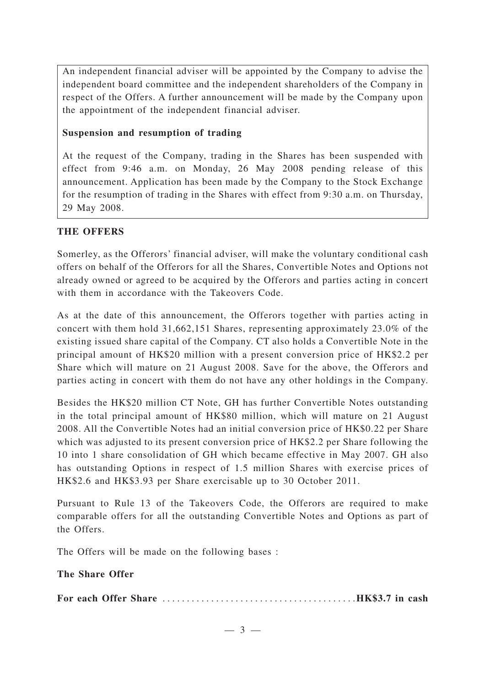An independent financial adviser will be appointed by the Company to advise the independent board committee and the independent shareholders of the Company in respect of the Offers. A further announcement will be made by the Company upon the appointment of the independent financial adviser.

### **Suspension and resumption of trading**

At the request of the Company, trading in the Shares has been suspended with effect from 9:46 a.m. on Monday, 26 May 2008 pending release of this announcement. Application has been made by the Company to the Stock Exchange for the resumption of trading in the Shares with effect from 9:30 a.m. on Thursday, 29 May 2008.

## **THE OFFERS**

Somerley, as the Offerors' financial adviser, will make the voluntary conditional cash offers on behalf of the Offerors for all the Shares, Convertible Notes and Options not already owned or agreed to be acquired by the Offerors and parties acting in concert with them in accordance with the Takeovers Code.

As at the date of this announcement, the Offerors together with parties acting in concert with them hold 31,662,151 Shares, representing approximately 23.0% of the existing issued share capital of the Company. CT also holds a Convertible Note in the principal amount of HK\$20 million with a present conversion price of HK\$2.2 per Share which will mature on 21 August 2008. Save for the above, the Offerors and parties acting in concert with them do not have any other holdings in the Company.

Besides the HK\$20 million CT Note, GH has further Convertible Notes outstanding in the total principal amount of HK\$80 million, which will mature on 21 August 2008. All the Convertible Notes had an initial conversion price of HK\$0.22 per Share which was adjusted to its present conversion price of HK\$2.2 per Share following the 10 into 1 share consolidation of GH which became effective in May 2007. GH also has outstanding Options in respect of 1.5 million Shares with exercise prices of HK\$2.6 and HK\$3.93 per Share exercisable up to 30 October 2011.

Pursuant to Rule 13 of the Takeovers Code, the Offerors are required to make comparable offers for all the outstanding Convertible Notes and Options as part of the Offers.

The Offers will be made on the following bases :

#### **The Share Offer**

**For each Offer Share** ........................................**HK\$3.7 in cash**

—3—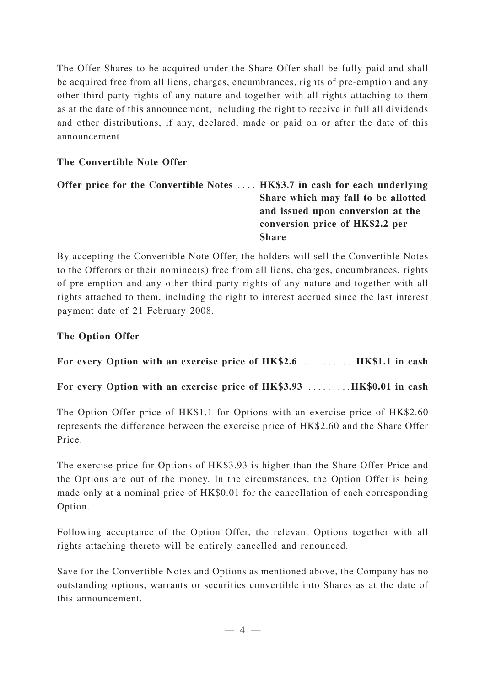The Offer Shares to be acquired under the Share Offer shall be fully paid and shall be acquired free from all liens, charges, encumbrances, rights of pre-emption and any other third party rights of any nature and together with all rights attaching to them as at the date of this announcement, including the right to receive in full all dividends and other distributions, if any, declared, made or paid on or after the date of this announcement.

## **The Convertible Note Offer**

## **Offer price for the Convertible Notes** .... **HK\$3.7 in cash for each underlying Share which may fall to be allotted and issued upon conversion at the conversion price of HK\$2.2 per Share**

By accepting the Convertible Note Offer, the holders will sell the Convertible Notes to the Offerors or their nominee(s) free from all liens, charges, encumbrances, rights of pre-emption and any other third party rights of any nature and together with all rights attached to them, including the right to interest accrued since the last interest payment date of 21 February 2008.

## **The Option Offer**

**For every Option with an exercise price of HK\$2.6** ...........**HK\$1.1 in cash**

**For every Option with an exercise price of HK\$3.93** .........**HK\$0.01 in cash**

The Option Offer price of HK\$1.1 for Options with an exercise price of HK\$2.60 represents the difference between the exercise price of HK\$2.60 and the Share Offer Price.

The exercise price for Options of HK\$3.93 is higher than the Share Offer Price and the Options are out of the money. In the circumstances, the Option Offer is being made only at a nominal price of HK\$0.01 for the cancellation of each corresponding Option.

Following acceptance of the Option Offer, the relevant Options together with all rights attaching thereto will be entirely cancelled and renounced.

Save for the Convertible Notes and Options as mentioned above, the Company has no outstanding options, warrants or securities convertible into Shares as at the date of this announcement.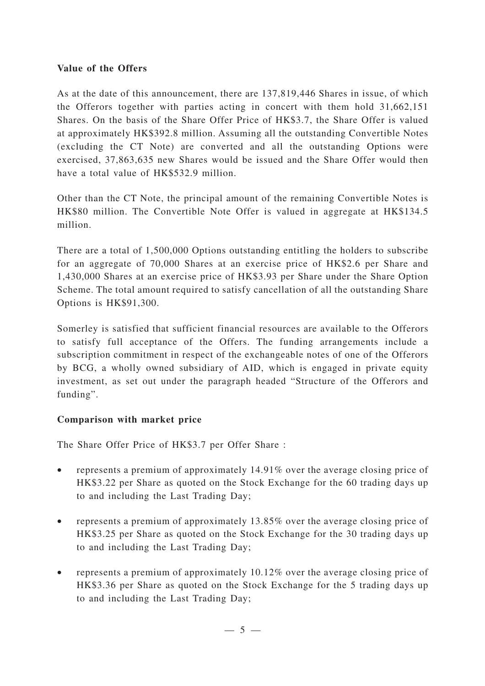### **Value of the Offers**

As at the date of this announcement, there are 137,819,446 Shares in issue, of which the Offerors together with parties acting in concert with them hold 31,662,151 Shares. On the basis of the Share Offer Price of HK\$3.7, the Share Offer is valued at approximately HK\$392.8 million. Assuming all the outstanding Convertible Notes (excluding the CT Note) are converted and all the outstanding Options were exercised, 37,863,635 new Shares would be issued and the Share Offer would then have a total value of HK\$532.9 million.

Other than the CT Note, the principal amount of the remaining Convertible Notes is HK\$80 million. The Convertible Note Offer is valued in aggregate at HK\$134.5 million.

There are a total of 1,500,000 Options outstanding entitling the holders to subscribe for an aggregate of 70,000 Shares at an exercise price of HK\$2.6 per Share and 1,430,000 Shares at an exercise price of HK\$3.93 per Share under the Share Option Scheme. The total amount required to satisfy cancellation of all the outstanding Share Options is HK\$91,300.

Somerley is satisfied that sufficient financial resources are available to the Offerors to satisfy full acceptance of the Offers. The funding arrangements include a subscription commitment in respect of the exchangeable notes of one of the Offerors by BCG, a wholly owned subsidiary of AID, which is engaged in private equity investment, as set out under the paragraph headed "Structure of the Offerors and funding".

## **Comparison with market price**

The Share Offer Price of HK\$3.7 per Offer Share :

- represents a premium of approximately 14.91% over the average closing price of HK\$3.22 per Share as quoted on the Stock Exchange for the 60 trading days up to and including the Last Trading Day;
- represents a premium of approximately 13.85% over the average closing price of HK\$3.25 per Share as quoted on the Stock Exchange for the 30 trading days up to and including the Last Trading Day;
- represents a premium of approximately 10.12% over the average closing price of HK\$3.36 per Share as quoted on the Stock Exchange for the 5 trading days up to and including the Last Trading Day;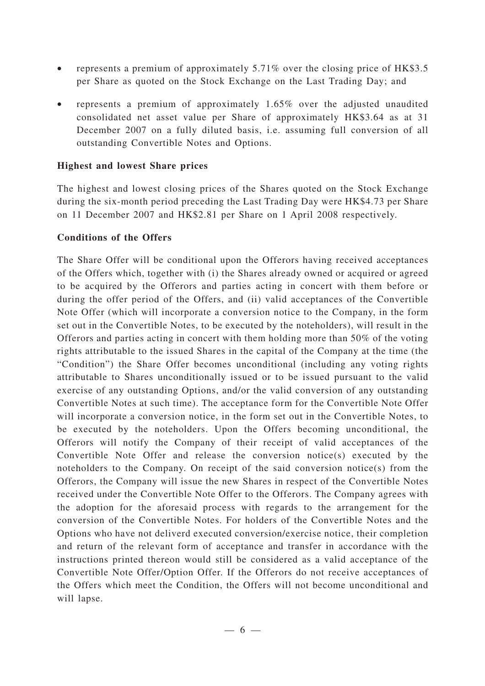- represents a premium of approximately 5.71% over the closing price of HK\$3.5 per Share as quoted on the Stock Exchange on the Last Trading Day; and
- represents a premium of approximately 1.65% over the adjusted unaudited consolidated net asset value per Share of approximately HK\$3.64 as at 31 December 2007 on a fully diluted basis, i.e. assuming full conversion of all outstanding Convertible Notes and Options.

### **Highest and lowest Share prices**

The highest and lowest closing prices of the Shares quoted on the Stock Exchange during the six-month period preceding the Last Trading Day were HK\$4.73 per Share on 11 December 2007 and HK\$2.81 per Share on 1 April 2008 respectively.

#### **Conditions of the Offers**

The Share Offer will be conditional upon the Offerors having received acceptances of the Offers which, together with (i) the Shares already owned or acquired or agreed to be acquired by the Offerors and parties acting in concert with them before or during the offer period of the Offers, and (ii) valid acceptances of the Convertible Note Offer (which will incorporate a conversion notice to the Company, in the form set out in the Convertible Notes, to be executed by the noteholders), will result in the Offerors and parties acting in concert with them holding more than 50% of the voting rights attributable to the issued Shares in the capital of the Company at the time (the "Condition") the Share Offer becomes unconditional (including any voting rights attributable to Shares unconditionally issued or to be issued pursuant to the valid exercise of any outstanding Options, and/or the valid conversion of any outstanding Convertible Notes at such time). The acceptance form for the Convertible Note Offer will incorporate a conversion notice, in the form set out in the Convertible Notes, to be executed by the noteholders. Upon the Offers becoming unconditional, the Offerors will notify the Company of their receipt of valid acceptances of the Convertible Note Offer and release the conversion notice(s) executed by the noteholders to the Company. On receipt of the said conversion notice(s) from the Offerors, the Company will issue the new Shares in respect of the Convertible Notes received under the Convertible Note Offer to the Offerors. The Company agrees with the adoption for the aforesaid process with regards to the arrangement for the conversion of the Convertible Notes. For holders of the Convertible Notes and the Options who have not deliverd executed conversion/exercise notice, their completion and return of the relevant form of acceptance and transfer in accordance with the instructions printed thereon would still be considered as a valid acceptance of the Convertible Note Offer/Option Offer. If the Offerors do not receive acceptances of the Offers which meet the Condition, the Offers will not become unconditional and will lapse.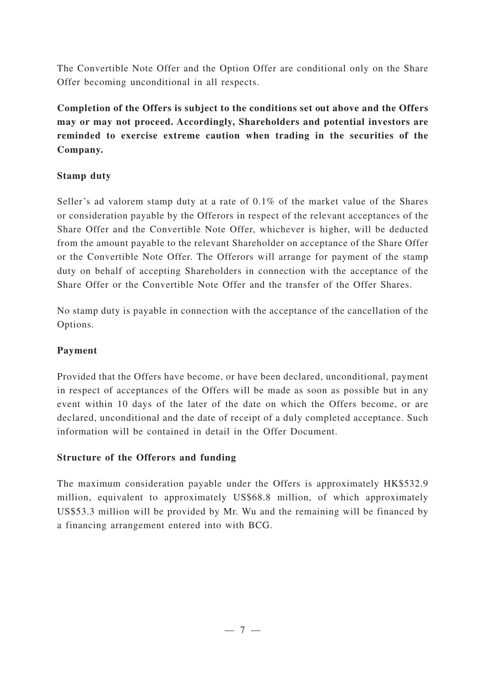The Convertible Note Offer and the Option Offer are conditional only on the Share Offer becoming unconditional in all respects.

**Completion of the Offers is subject to the conditions set out above and the Offers may or may not proceed. Accordingly, Shareholders and potential investors are reminded to exercise extreme caution when trading in the securities of the Company.**

## **Stamp duty**

Seller's ad valorem stamp duty at a rate of 0.1% of the market value of the Shares or consideration payable by the Offerors in respect of the relevant acceptances of the Share Offer and the Convertible Note Offer, whichever is higher, will be deducted from the amount payable to the relevant Shareholder on acceptance of the Share Offer or the Convertible Note Offer. The Offerors will arrange for payment of the stamp duty on behalf of accepting Shareholders in connection with the acceptance of the Share Offer or the Convertible Note Offer and the transfer of the Offer Shares.

No stamp duty is payable in connection with the acceptance of the cancellation of the Options.

# **Payment**

Provided that the Offers have become, or have been declared, unconditional, payment in respect of acceptances of the Offers will be made as soon as possible but in any event within 10 days of the later of the date on which the Offers become, or are declared, unconditional and the date of receipt of a duly completed acceptance. Such information will be contained in detail in the Offer Document.

## **Structure of the Offerors and funding**

The maximum consideration payable under the Offers is approximately HK\$532.9 million, equivalent to approximately US\$68.8 million, of which approximately US\$53.3 million will be provided by Mr. Wu and the remaining will be financed by a financing arrangement entered into with BCG.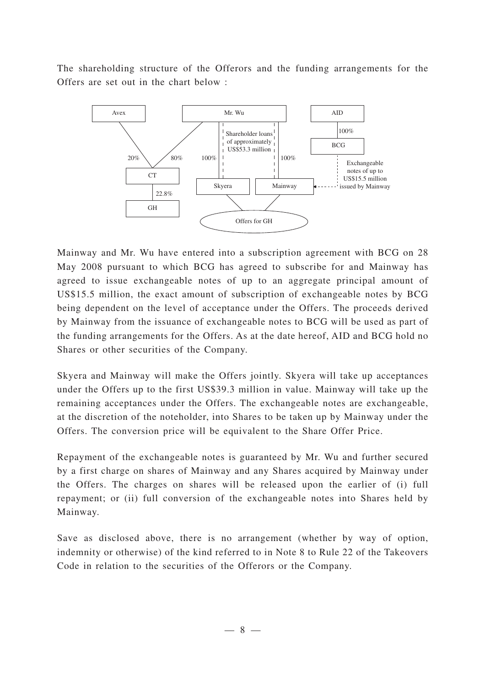The shareholding structure of the Offerors and the funding arrangements for the Offers are set out in the chart below :



Mainway and Mr. Wu have entered into a subscription agreement with BCG on 28 May 2008 pursuant to which BCG has agreed to subscribe for and Mainway has agreed to issue exchangeable notes of up to an aggregate principal amount of US\$15.5 million, the exact amount of subscription of exchangeable notes by BCG being dependent on the level of acceptance under the Offers. The proceeds derived by Mainway from the issuance of exchangeable notes to BCG will be used as part of the funding arrangements for the Offers. As at the date hereof, AID and BCG hold no Shares or other securities of the Company.

Skyera and Mainway will make the Offers jointly. Skyera will take up acceptances under the Offers up to the first US\$39.3 million in value. Mainway will take up the remaining acceptances under the Offers. The exchangeable notes are exchangeable, at the discretion of the noteholder, into Shares to be taken up by Mainway under the Offers. The conversion price will be equivalent to the Share Offer Price.

Repayment of the exchangeable notes is guaranteed by Mr. Wu and further secured by a first charge on shares of Mainway and any Shares acquired by Mainway under the Offers. The charges on shares will be released upon the earlier of (i) full repayment; or (ii) full conversion of the exchangeable notes into Shares held by Mainway.

Save as disclosed above, there is no arrangement (whether by way of option, indemnity or otherwise) of the kind referred to in Note 8 to Rule 22 of the Takeovers Code in relation to the securities of the Offerors or the Company.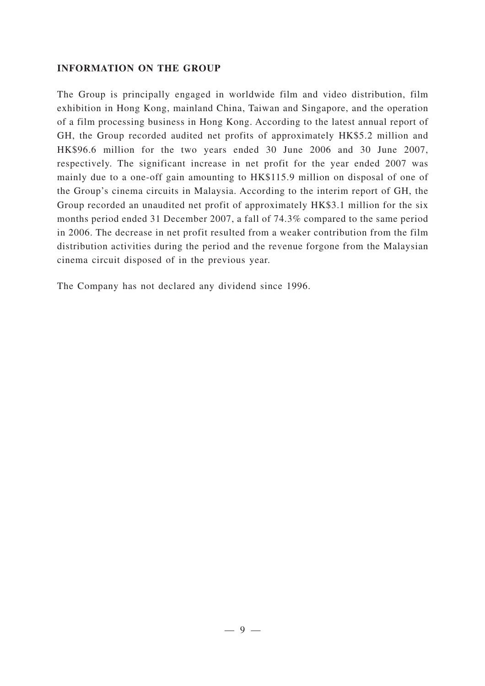#### **INFORMATION ON THE GROUP**

The Group is principally engaged in worldwide film and video distribution, film exhibition in Hong Kong, mainland China, Taiwan and Singapore, and the operation of a film processing business in Hong Kong. According to the latest annual report of GH, the Group recorded audited net profits of approximately HK\$5.2 million and HK\$96.6 million for the two years ended 30 June 2006 and 30 June 2007, respectively. The significant increase in net profit for the year ended 2007 was mainly due to a one-off gain amounting to HK\$115.9 million on disposal of one of the Group's cinema circuits in Malaysia. According to the interim report of GH, the Group recorded an unaudited net profit of approximately HK\$3.1 million for the six months period ended 31 December 2007, a fall of 74.3% compared to the same period in 2006. The decrease in net profit resulted from a weaker contribution from the film distribution activities during the period and the revenue forgone from the Malaysian cinema circuit disposed of in the previous year.

The Company has not declared any dividend since 1996.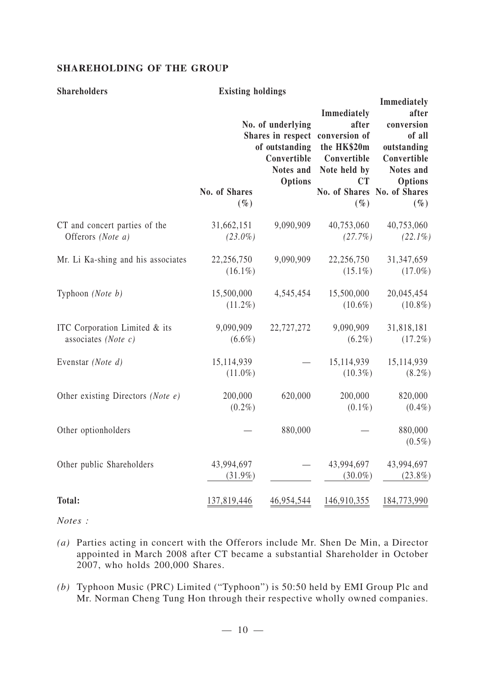#### **SHAREHOLDING OF THE GROUP**

#### **Shareholders Existing holdings**

|                                                         | No. of Shares<br>$(\%)$  | No. of underlying<br>of outstanding<br>Convertible<br>Notes and<br>Options | Immediately<br>after<br>Shares in respect conversion of<br>the HK\$20m<br>Convertible<br>Note held by<br><b>CT</b><br>No. of Shares No. of Shares<br>$(\%)$ | Immediately<br>after<br>conversion<br>of all<br>outstanding<br>Convertible<br>Notes and<br><b>Options</b><br>$(\%)$ |
|---------------------------------------------------------|--------------------------|----------------------------------------------------------------------------|-------------------------------------------------------------------------------------------------------------------------------------------------------------|---------------------------------------------------------------------------------------------------------------------|
| CT and concert parties of the<br>Offerors (Note a)      | 31,662,151<br>$(23.0\%)$ | 9,090,909                                                                  | 40,753,060<br>(27.7%)                                                                                                                                       | 40,753,060<br>$(22.1\%)$                                                                                            |
| Mr. Li Ka-shing and his associates                      | 22,256,750<br>$(16.1\%)$ | 9,090,909                                                                  | 22,256,750<br>$(15.1\%)$                                                                                                                                    | 31,347,659<br>$(17.0\%)$                                                                                            |
| Typhoon (Note b)                                        | 15,500,000<br>$(11.2\%)$ | 4,545,454                                                                  | 15,500,000<br>$(10.6\%)$                                                                                                                                    | 20,045,454<br>$(10.8\%)$                                                                                            |
| ITC Corporation Limited & its<br>associates (Note $c$ ) | 9,090,909<br>$(6.6\%)$   | 22,727,272                                                                 | 9,090,909<br>$(6.2\%)$                                                                                                                                      | 31,818,181<br>$(17.2\%)$                                                                                            |
| Evenstar (Note d)                                       | 15,114,939<br>$(11.0\%)$ |                                                                            | 15,114,939<br>$(10.3\%)$                                                                                                                                    | 15,114,939<br>$(8.2\%)$                                                                                             |
| Other existing Directors (Note e)                       | 200,000<br>$(0.2\%)$     | 620,000                                                                    | 200,000<br>$(0.1\%)$                                                                                                                                        | 820,000<br>$(0.4\%)$                                                                                                |
| Other optionholders                                     |                          | 880,000                                                                    |                                                                                                                                                             | 880,000<br>$(0.5\%)$                                                                                                |
| Other public Shareholders                               | 43,994,697<br>$(31.9\%)$ |                                                                            | 43,994,697<br>$(30.0\%)$                                                                                                                                    | 43,994,697<br>$(23.8\%)$                                                                                            |
| <b>Total:</b>                                           | 137,819,446              | 46,954,544                                                                 | 146,910,355                                                                                                                                                 | 184,773,990                                                                                                         |

*Notes :*

- *(a)* Parties acting in concert with the Offerors include Mr. Shen De Min, a Director appointed in March 2008 after CT became a substantial Shareholder in October 2007, who holds 200,000 Shares.
- *(b)* Typhoon Music (PRC) Limited ("Typhoon") is 50:50 held by EMI Group Plc and Mr. Norman Cheng Tung Hon through their respective wholly owned companies.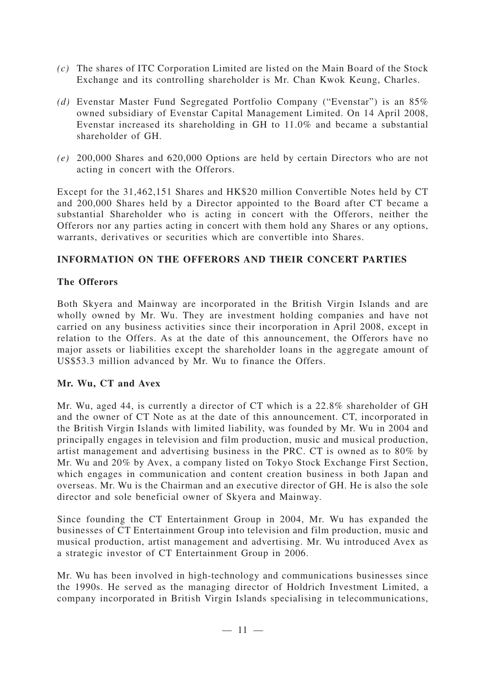- *(c)* The shares of ITC Corporation Limited are listed on the Main Board of the Stock Exchange and its controlling shareholder is Mr. Chan Kwok Keung, Charles.
- *(d)* Evenstar Master Fund Segregated Portfolio Company ("Evenstar") is an 85% owned subsidiary of Evenstar Capital Management Limited. On 14 April 2008, Evenstar increased its shareholding in GH to 11.0% and became a substantial shareholder of GH.
- *(e)* 200,000 Shares and 620,000 Options are held by certain Directors who are not acting in concert with the Offerors.

Except for the 31,462,151 Shares and HK\$20 million Convertible Notes held by CT and 200,000 Shares held by a Director appointed to the Board after CT became a substantial Shareholder who is acting in concert with the Offerors, neither the Offerors nor any parties acting in concert with them hold any Shares or any options, warrants, derivatives or securities which are convertible into Shares.

## **INFORMATION ON THE OFFERORS AND THEIR CONCERT PARTIES**

## **The Offerors**

Both Skyera and Mainway are incorporated in the British Virgin Islands and are wholly owned by Mr. Wu. They are investment holding companies and have not carried on any business activities since their incorporation in April 2008, except in relation to the Offers. As at the date of this announcement, the Offerors have no major assets or liabilities except the shareholder loans in the aggregate amount of US\$53.3 million advanced by Mr. Wu to finance the Offers.

#### **Mr. Wu, CT and Avex**

Mr. Wu, aged 44, is currently a director of CT which is a 22.8% shareholder of GH and the owner of CT Note as at the date of this announcement. CT, incorporated in the British Virgin Islands with limited liability, was founded by Mr. Wu in 2004 and principally engages in television and film production, music and musical production, artist management and advertising business in the PRC. CT is owned as to 80% by Mr. Wu and 20% by Avex, a company listed on Tokyo Stock Exchange First Section, which engages in communication and content creation business in both Japan and overseas. Mr. Wu is the Chairman and an executive director of GH. He is also the sole director and sole beneficial owner of Skyera and Mainway.

Since founding the CT Entertainment Group in 2004, Mr. Wu has expanded the businesses of CT Entertainment Group into television and film production, music and musical production, artist management and advertising. Mr. Wu introduced Avex as a strategic investor of CT Entertainment Group in 2006.

Mr. Wu has been involved in high-technology and communications businesses since the 1990s. He served as the managing director of Holdrich Investment Limited, a company incorporated in British Virgin Islands specialising in telecommunications,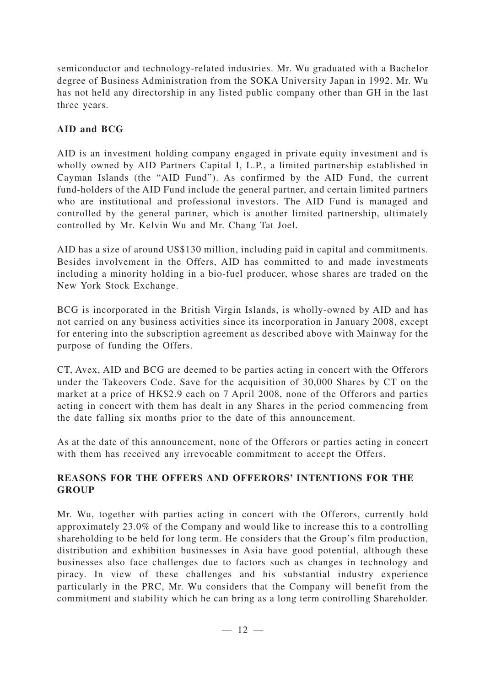semiconductor and technology-related industries. Mr. Wu graduated with a Bachelor degree of Business Administration from the SOKA University Japan in 1992. Mr. Wu has not held any directorship in any listed public company other than GH in the last three years.

# **AID and BCG**

AID is an investment holding company engaged in private equity investment and is wholly owned by AID Partners Capital I, L.P., a limited partnership established in Cayman Islands (the "AID Fund"). As confirmed by the AID Fund, the current fund-holders of the AID Fund include the general partner, and certain limited partners who are institutional and professional investors. The AID Fund is managed and controlled by the general partner, which is another limited partnership, ultimately controlled by Mr. Kelvin Wu and Mr. Chang Tat Joel.

AID has a size of around US\$130 million, including paid in capital and commitments. Besides involvement in the Offers, AID has committed to and made investments including a minority holding in a bio-fuel producer, whose shares are traded on the New York Stock Exchange.

BCG is incorporated in the British Virgin Islands, is wholly-owned by AID and has not carried on any business activities since its incorporation in January 2008, except for entering into the subscription agreement as described above with Mainway for the purpose of funding the Offers.

CT, Avex, AID and BCG are deemed to be parties acting in concert with the Offerors under the Takeovers Code. Save for the acquisition of 30,000 Shares by CT on the market at a price of HK\$2.9 each on 7 April 2008, none of the Offerors and parties acting in concert with them has dealt in any Shares in the period commencing from the date falling six months prior to the date of this announcement.

As at the date of this announcement, none of the Offerors or parties acting in concert with them has received any irrevocable commitment to accept the Offers.

## **REASONS FOR THE OFFERS AND OFFERORS' INTENTIONS FOR THE GROUP**

Mr. Wu, together with parties acting in concert with the Offerors, currently hold approximately 23.0% of the Company and would like to increase this to a controlling shareholding to be held for long term. He considers that the Group's film production, distribution and exhibition businesses in Asia have good potential, although these businesses also face challenges due to factors such as changes in technology and piracy. In view of these challenges and his substantial industry experience particularly in the PRC, Mr. Wu considers that the Company will benefit from the commitment and stability which he can bring as a long term controlling Shareholder.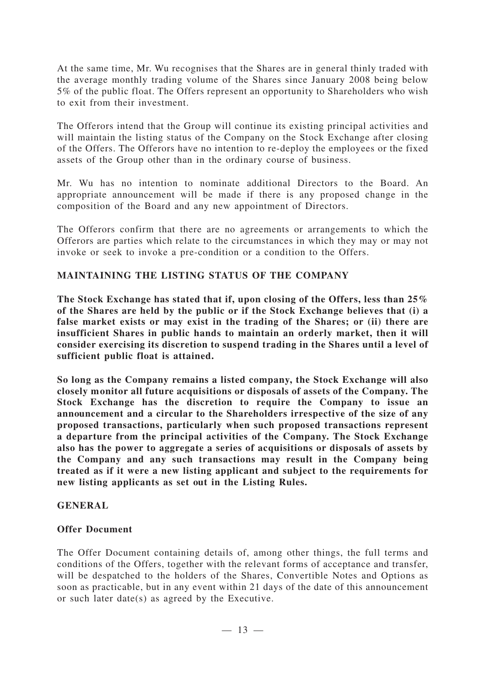At the same time, Mr. Wu recognises that the Shares are in general thinly traded with the average monthly trading volume of the Shares since January 2008 being below 5% of the public float. The Offers represent an opportunity to Shareholders who wish to exit from their investment.

The Offerors intend that the Group will continue its existing principal activities and will maintain the listing status of the Company on the Stock Exchange after closing of the Offers. The Offerors have no intention to re-deploy the employees or the fixed assets of the Group other than in the ordinary course of business.

Mr. Wu has no intention to nominate additional Directors to the Board. An appropriate announcement will be made if there is any proposed change in the composition of the Board and any new appointment of Directors.

The Offerors confirm that there are no agreements or arrangements to which the Offerors are parties which relate to the circumstances in which they may or may not invoke or seek to invoke a pre-condition or a condition to the Offers.

### **MAINTAINING THE LISTING STATUS OF THE COMPANY**

**The Stock Exchange has stated that if, upon closing of the Offers, less than 25% of the Shares are held by the public or if the Stock Exchange believes that (i) a false market exists or may exist in the trading of the Shares; or (ii) there are insufficient Shares in public hands to maintain an orderly market, then it will consider exercising its discretion to suspend trading in the Shares until a level of sufficient public float is attained.**

**So long as the Company remains a listed company, the Stock Exchange will also closely monitor all future acquisitions or disposals of assets of the Company. The Stock Exchange has the discretion to require the Company to issue an announcement and a circular to the Shareholders irrespective of the size of any proposed transactions, particularly when such proposed transactions represent a departure from the principal activities of the Company. The Stock Exchange also has the power to aggregate a series of acquisitions or disposals of assets by the Company and any such transactions may result in the Company being treated as if it were a new listing applicant and subject to the requirements for new listing applicants as set out in the Listing Rules.**

#### **GENERAL**

#### **Offer Document**

The Offer Document containing details of, among other things, the full terms and conditions of the Offers, together with the relevant forms of acceptance and transfer, will be despatched to the holders of the Shares, Convertible Notes and Options as soon as practicable, but in any event within 21 days of the date of this announcement or such later date(s) as agreed by the Executive.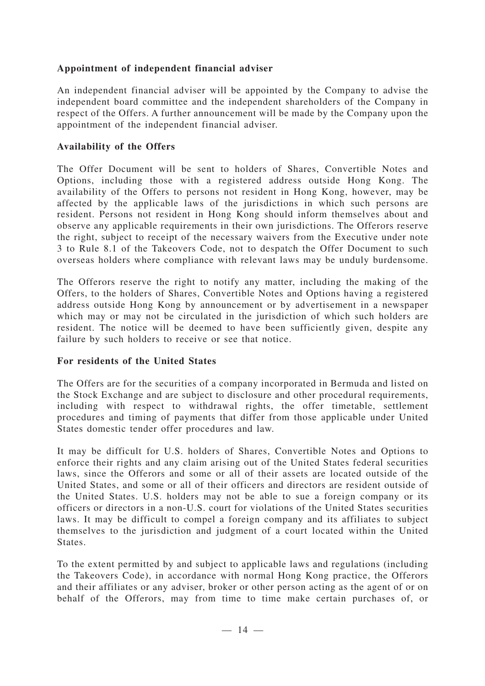### **Appointment of independent financial adviser**

An independent financial adviser will be appointed by the Company to advise the independent board committee and the independent shareholders of the Company in respect of the Offers. A further announcement will be made by the Company upon the appointment of the independent financial adviser.

#### **Availability of the Offers**

The Offer Document will be sent to holders of Shares, Convertible Notes and Options, including those with a registered address outside Hong Kong. The availability of the Offers to persons not resident in Hong Kong, however, may be affected by the applicable laws of the jurisdictions in which such persons are resident. Persons not resident in Hong Kong should inform themselves about and observe any applicable requirements in their own jurisdictions. The Offerors reserve the right, subject to receipt of the necessary waivers from the Executive under note 3 to Rule 8.1 of the Takeovers Code, not to despatch the Offer Document to such overseas holders where compliance with relevant laws may be unduly burdensome.

The Offerors reserve the right to notify any matter, including the making of the Offers, to the holders of Shares, Convertible Notes and Options having a registered address outside Hong Kong by announcement or by advertisement in a newspaper which may or may not be circulated in the jurisdiction of which such holders are resident. The notice will be deemed to have been sufficiently given, despite any failure by such holders to receive or see that notice.

#### **For residents of the United States**

The Offers are for the securities of a company incorporated in Bermuda and listed on the Stock Exchange and are subject to disclosure and other procedural requirements, including with respect to withdrawal rights, the offer timetable, settlement procedures and timing of payments that differ from those applicable under United States domestic tender offer procedures and law.

It may be difficult for U.S. holders of Shares, Convertible Notes and Options to enforce their rights and any claim arising out of the United States federal securities laws, since the Offerors and some or all of their assets are located outside of the United States, and some or all of their officers and directors are resident outside of the United States. U.S. holders may not be able to sue a foreign company or its officers or directors in a non-U.S. court for violations of the United States securities laws. It may be difficult to compel a foreign company and its affiliates to subject themselves to the jurisdiction and judgment of a court located within the United States.

To the extent permitted by and subject to applicable laws and regulations (including the Takeovers Code), in accordance with normal Hong Kong practice, the Offerors and their affiliates or any adviser, broker or other person acting as the agent of or on behalf of the Offerors, may from time to time make certain purchases of, or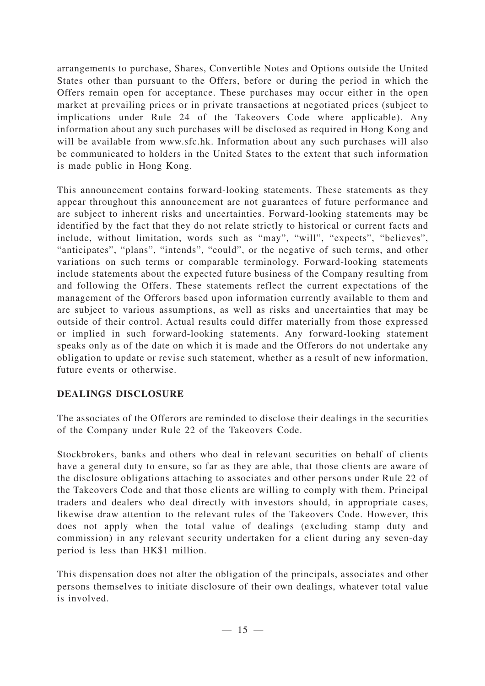arrangements to purchase, Shares, Convertible Notes and Options outside the United States other than pursuant to the Offers, before or during the period in which the Offers remain open for acceptance. These purchases may occur either in the open market at prevailing prices or in private transactions at negotiated prices (subject to implications under Rule 24 of the Takeovers Code where applicable). Any information about any such purchases will be disclosed as required in Hong Kong and will be available from www.sfc.hk. Information about any such purchases will also be communicated to holders in the United States to the extent that such information is made public in Hong Kong.

This announcement contains forward-looking statements. These statements as they appear throughout this announcement are not guarantees of future performance and are subject to inherent risks and uncertainties. Forward-looking statements may be identified by the fact that they do not relate strictly to historical or current facts and include, without limitation, words such as "may", "will", "expects", "believes", "anticipates", "plans", "intends", "could", or the negative of such terms, and other variations on such terms or comparable terminology. Forward-looking statements include statements about the expected future business of the Company resulting from and following the Offers. These statements reflect the current expectations of the management of the Offerors based upon information currently available to them and are subject to various assumptions, as well as risks and uncertainties that may be outside of their control. Actual results could differ materially from those expressed or implied in such forward-looking statements. Any forward-looking statement speaks only as of the date on which it is made and the Offerors do not undertake any obligation to update or revise such statement, whether as a result of new information, future events or otherwise.

## **DEALINGS DISCLOSURE**

The associates of the Offerors are reminded to disclose their dealings in the securities of the Company under Rule 22 of the Takeovers Code.

Stockbrokers, banks and others who deal in relevant securities on behalf of clients have a general duty to ensure, so far as they are able, that those clients are aware of the disclosure obligations attaching to associates and other persons under Rule 22 of the Takeovers Code and that those clients are willing to comply with them. Principal traders and dealers who deal directly with investors should, in appropriate cases, likewise draw attention to the relevant rules of the Takeovers Code. However, this does not apply when the total value of dealings (excluding stamp duty and commission) in any relevant security undertaken for a client during any seven-day period is less than HK\$1 million.

This dispensation does not alter the obligation of the principals, associates and other persons themselves to initiate disclosure of their own dealings, whatever total value is involved.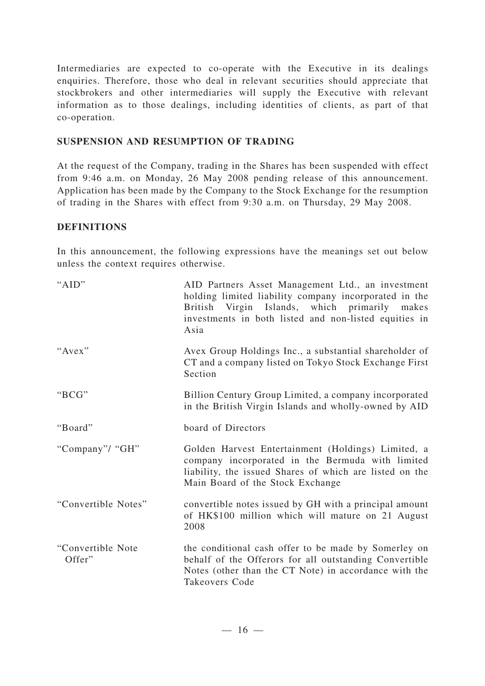Intermediaries are expected to co-operate with the Executive in its dealings enquiries. Therefore, those who deal in relevant securities should appreciate that stockbrokers and other intermediaries will supply the Executive with relevant information as to those dealings, including identities of clients, as part of that co-operation.

### **SUSPENSION AND RESUMPTION OF TRADING**

At the request of the Company, trading in the Shares has been suspended with effect from 9:46 a.m. on Monday, 26 May 2008 pending release of this announcement. Application has been made by the Company to the Stock Exchange for the resumption of trading in the Shares with effect from 9:30 a.m. on Thursday, 29 May 2008.

#### **DEFINITIONS**

In this announcement, the following expressions have the meanings set out below unless the context requires otherwise.

| "AID"                       | AID Partners Asset Management Ltd., an investment<br>holding limited liability company incorporated in the<br>British Virgin Islands, which primarily makes<br>investments in both listed and non-listed equities in<br>Asia |
|-----------------------------|------------------------------------------------------------------------------------------------------------------------------------------------------------------------------------------------------------------------------|
| "Avex"                      | Avex Group Holdings Inc., a substantial shareholder of<br>CT and a company listed on Tokyo Stock Exchange First<br>Section                                                                                                   |
| "BCG"                       | Billion Century Group Limited, a company incorporated<br>in the British Virgin Islands and wholly-owned by AID                                                                                                               |
| "Board"                     | board of Directors                                                                                                                                                                                                           |
| "Company"/ "GH"             | Golden Harvest Entertainment (Holdings) Limited, a<br>company incorporated in the Bermuda with limited<br>liability, the issued Shares of which are listed on the<br>Main Board of the Stock Exchange                        |
| "Convertible Notes"         | convertible notes issued by GH with a principal amount<br>of HK\$100 million which will mature on 21 August<br>2008                                                                                                          |
| "Convertible Note<br>Offer" | the conditional cash offer to be made by Somerley on<br>behalf of the Offerors for all outstanding Convertible<br>Notes (other than the CT Note) in accordance with the<br>Takeovers Code                                    |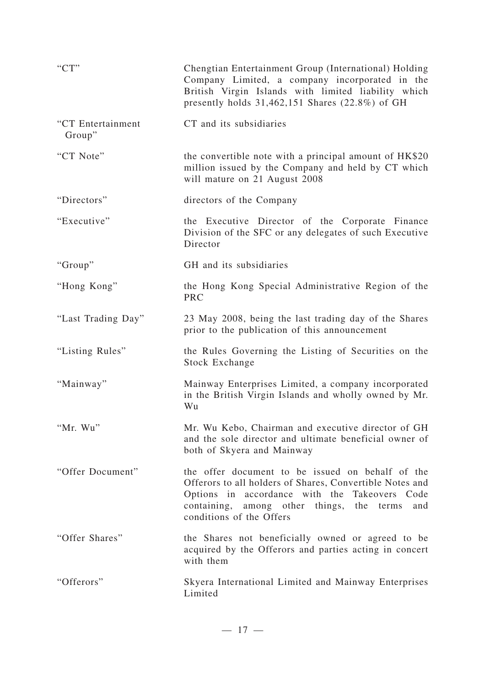| C(T)                        | Chengtian Entertainment Group (International) Holding<br>Company Limited, a company incorporated in the<br>British Virgin Islands with limited liability which<br>presently holds $31,462,151$ Shares (22.8%) of GH                           |
|-----------------------------|-----------------------------------------------------------------------------------------------------------------------------------------------------------------------------------------------------------------------------------------------|
| "CT Entertainment<br>Group" | CT and its subsidiaries                                                                                                                                                                                                                       |
| "CT Note"                   | the convertible note with a principal amount of HK\$20<br>million issued by the Company and held by CT which<br>will mature on 21 August 2008                                                                                                 |
| "Directors"                 | directors of the Company                                                                                                                                                                                                                      |
| "Executive"                 | the Executive Director of the Corporate Finance<br>Division of the SFC or any delegates of such Executive<br>Director                                                                                                                         |
| "Group"                     | GH and its subsidiaries                                                                                                                                                                                                                       |
| "Hong Kong"                 | the Hong Kong Special Administrative Region of the<br><b>PRC</b>                                                                                                                                                                              |
| "Last Trading Day"          | 23 May 2008, being the last trading day of the Shares<br>prior to the publication of this announcement                                                                                                                                        |
| "Listing Rules"             | the Rules Governing the Listing of Securities on the<br><b>Stock Exchange</b>                                                                                                                                                                 |
| "Mainway"                   | Mainway Enterprises Limited, a company incorporated<br>in the British Virgin Islands and wholly owned by Mr.<br>Wu                                                                                                                            |
| "Mr. Wu"                    | Mr. Wu Kebo, Chairman and executive director of GH<br>and the sole director and ultimate beneficial owner of<br>both of Skyera and Mainway                                                                                                    |
| "Offer Document"            | the offer document to be issued on behalf of the<br>Offerors to all holders of Shares, Convertible Notes and<br>Options in accordance with the Takeovers Code<br>containing, among other things, the terms<br>and<br>conditions of the Offers |
| "Offer Shares"              | the Shares not beneficially owned or agreed to be<br>acquired by the Offerors and parties acting in concert<br>with them                                                                                                                      |
| "Offerors"                  | Skyera International Limited and Mainway Enterprises<br>Limited                                                                                                                                                                               |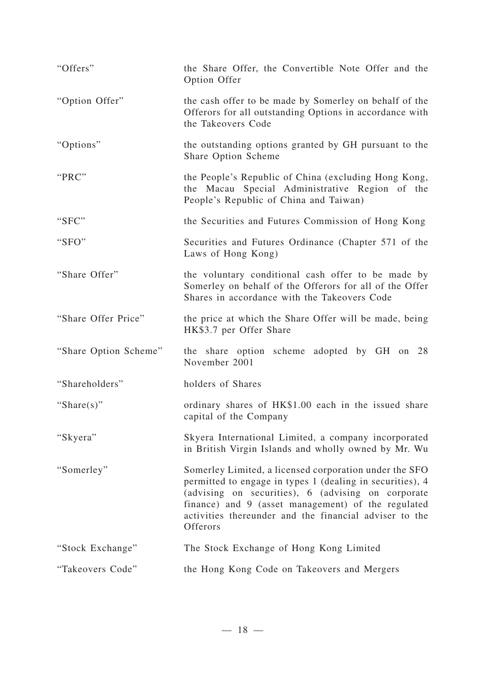| "Offers"              | the Share Offer, the Convertible Note Offer and the<br>Option Offer                                                                                                                                                                                                                                   |
|-----------------------|-------------------------------------------------------------------------------------------------------------------------------------------------------------------------------------------------------------------------------------------------------------------------------------------------------|
| "Option Offer"        | the cash offer to be made by Somerley on behalf of the<br>Offerors for all outstanding Options in accordance with<br>the Takeovers Code                                                                                                                                                               |
| "Options"             | the outstanding options granted by GH pursuant to the<br>Share Option Scheme                                                                                                                                                                                                                          |
| "PRC"                 | the People's Republic of China (excluding Hong Kong,<br>the Macau Special Administrative Region of the<br>People's Republic of China and Taiwan)                                                                                                                                                      |
| "SFC"                 | the Securities and Futures Commission of Hong Kong                                                                                                                                                                                                                                                    |
| "SFO"                 | Securities and Futures Ordinance (Chapter 571 of the<br>Laws of Hong Kong)                                                                                                                                                                                                                            |
| "Share Offer"         | the voluntary conditional cash offer to be made by<br>Somerley on behalf of the Offerors for all of the Offer<br>Shares in accordance with the Takeovers Code                                                                                                                                         |
| "Share Offer Price"   | the price at which the Share Offer will be made, being<br>HK\$3.7 per Offer Share                                                                                                                                                                                                                     |
| "Share Option Scheme" | the share option scheme adopted by GH on 28<br>November 2001                                                                                                                                                                                                                                          |
| "Shareholders"        | holders of Shares                                                                                                                                                                                                                                                                                     |
| "Share $(s)$ "        | ordinary shares of HK\$1.00 each in the issued share<br>capital of the Company                                                                                                                                                                                                                        |
| "Skyera"              | Skyera International Limited, a company incorporated<br>in British Virgin Islands and wholly owned by Mr. Wu                                                                                                                                                                                          |
| "Somerley"            | Somerley Limited, a licensed corporation under the SFO<br>permitted to engage in types 1 (dealing in securities), 4<br>(advising on securities), 6 (advising on corporate<br>finance) and 9 (asset management) of the regulated<br>activities thereunder and the financial adviser to the<br>Offerors |
| "Stock Exchange"      | The Stock Exchange of Hong Kong Limited                                                                                                                                                                                                                                                               |
| "Takeovers Code"      | the Hong Kong Code on Takeovers and Mergers                                                                                                                                                                                                                                                           |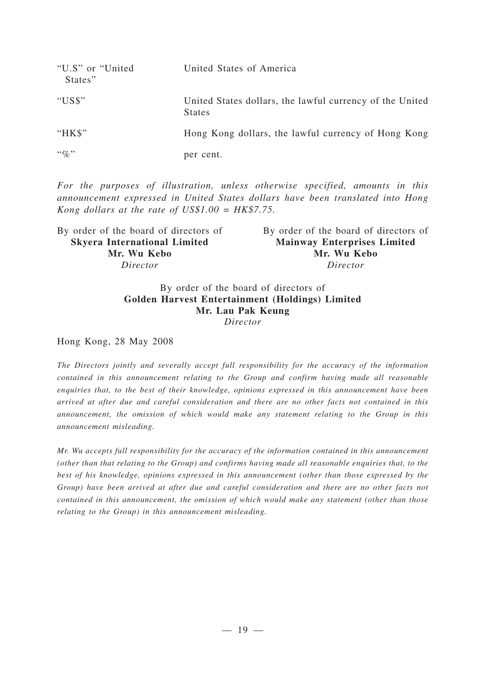| "U.S" or "United"<br>States" | United States of America                                                  |
|------------------------------|---------------------------------------------------------------------------|
| "US\$"                       | United States dollars, the lawful currency of the United<br><b>States</b> |
| " $HKS$ "                    | Hong Kong dollars, the lawful currency of Hong Kong                       |
| $\lq\lq q_0$ "               | per cent.                                                                 |

*For the purposes of illustration, unless otherwise specified, amounts in this announcement expressed in United States dollars have been translated into Hong Kong dollars at the rate of US\$1.00 = HK\$7.75.*

| By order of the board of directors of |  |
|---------------------------------------|--|
| <b>Mainway Enterprises Limited</b>    |  |
| Mr. Wu Kebo                           |  |
| Director                              |  |
|                                       |  |

#### By order of the board of directors of **Golden Harvest Entertainment (Holdings) Limited Mr. Lau Pak Keung** *Director*

Hong Kong, 28 May 2008

*The Directors jointly and severally accept full responsibility for the accuracy of the information contained in this announcement relating to the Group and confirm having made all reasonable enquiries that, to the best of their knowledge, opinions expressed in this announcement have been arrived at after due and careful consideration and there are no other facts not contained in this announcement, the omission of which would make any statement relating to the Group in this announcement misleading.*

*Mr. Wu accepts full responsibility for the accuracy of the information contained in this announcement (other than that relating to the Group) and confirms having made all reasonable enquiries that, to the best of his knowledge, opinions expressed in this announcement (other than those expressed by the Group) have been arrived at after due and careful consideration and there are no other facts not contained in this announcement, the omission of which would make any statement (other than those relating to the Group) in this announcement misleading.*